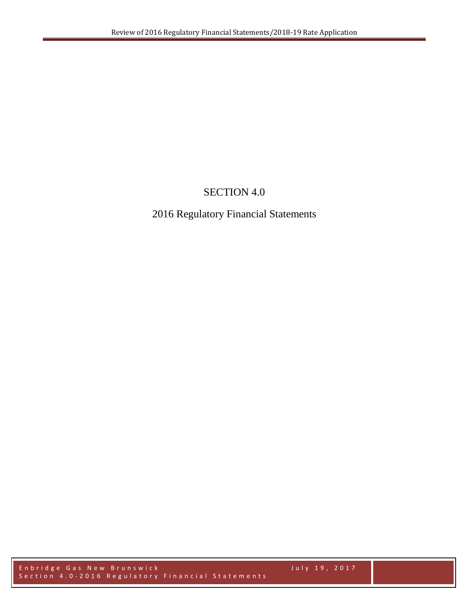## SECTION 4.0

## 2016 Regulatory Financial Statements

Enbridge Gas New Brunswick July 19, 2017 Section 4.0 - 2016 Regulatory Financial Statements